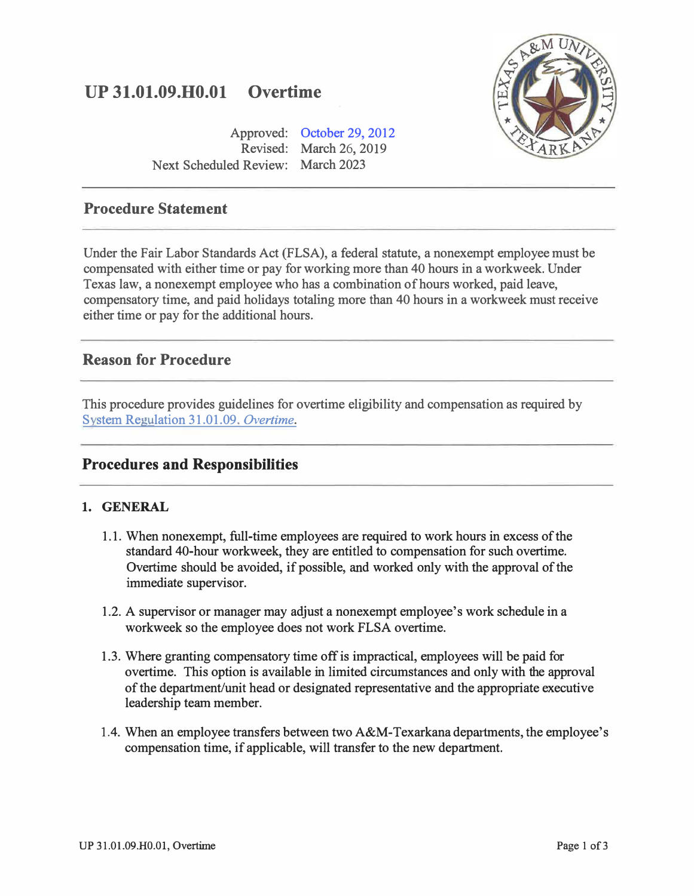# **UP 31.01.09.H0.0l Overtime**

Approved: [October 29, 2012](www.tamut.edu/about/administration/about/rules/archive_Rules_Procedure/31.1.9.H1.01_Overtime_08192014.pdf) Revised: March 26, 2019 Next Scheduled Review: March 2023



# **Procedure Statement**

Under the Fair Labor Standards Act (FLSA), a federal statute, a nonexempt employee must be compensated with either time or pay for working more than 40 hours in a workweek. Under Texas law, a nonexempt employee who has a combination of hours worked, paid leave, compensatory time, and paid holidays totaling more than 40 hours in a workweek must receive either time or pay for the additional hours.

# **Reason for Procedure**

This procedure provides guidelines for overtime eligibility and compensation as required by [Svstem Regulation 31.01.09.](http://policies.tamus.edu/31-01-09.pdf) *Overtime.*

## **Procedures and Responsibilities**

## **1. GENERAL**

- 1.1. When nonexempt, full-time employees are required to work hours in excess of the standard 40-hour workweek, they are entitled to compensation for such overtime. Overtime should be avoided, if possible, and worked only with the approval of the immediate supervisor.
- 1.2. A supervisor or manager may adjust a nonexempt employee's work schedule in a workweek so the employee does not work FLSA overtime.
- 1.3. Where granting compensatory time off is impractical, employees will be paid for overtime. This option is available in limited circumstances and only with the approval of the department/unit head or designated representative and the appropriate executive leadership team member.
- 1.4. When an employee transfers between two A&M-Texarkana departments, the employee's compensation time, if applicable, will transfer to the new department.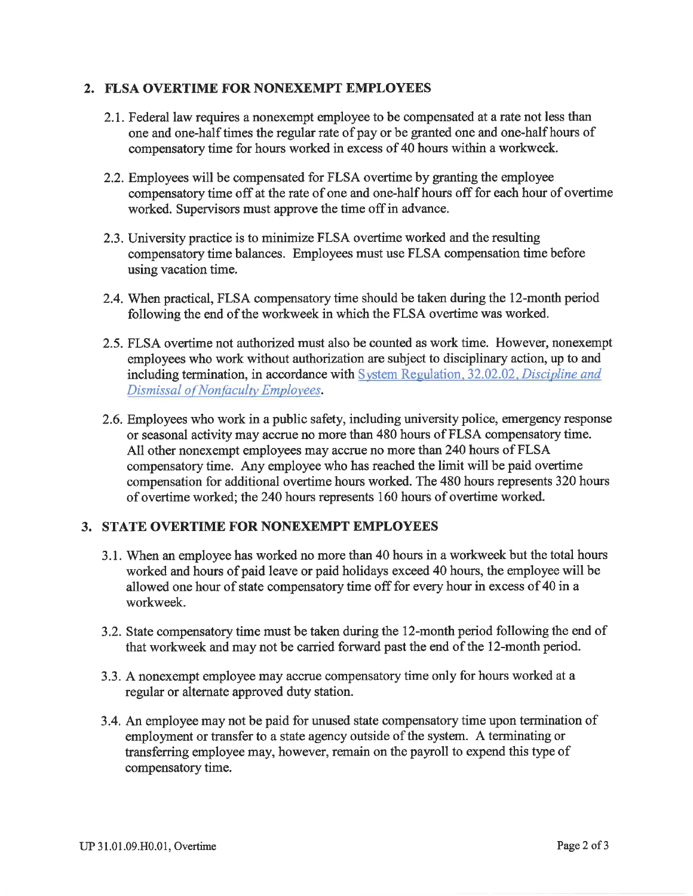#### 2. FLSA OVERTIME FOR NONEXEMPT EMPLOYEES

- 2.1. Federal law requires a nonexempt employee to be compensated at a rate not less than one and one-half times the regular rate of pay or be granted one and one-half hours of compensatory time for hours worked in excess of 40 hours within a workweek.
- 2.2. Employees will be compensated for FLSA overtime by granting the employee compensatory time off at the rate of one and one-half hours off for each hour of overtime worked. Supervisors must approve the time off in advance.
- 2.3. University practice is to minimize FLSA overtime worked and the resulting compensatory time balances. Employees must use FLSA compensation time before using vacation time.
- 2.4. When practical, FLSA compensatory time should be taken during the 12-month period following the end of the workweek in which the FLSA overtime was worked.
- 2.5. FLSA overtime not authorized must also be counted as work time. However, nonexempt employees who work without authorization are subject to disciplinary action, up to and including termination, in accordance with System Regulation, 32.02.02, Discipline and Dismissal of Nonfaculty Employees.
- 2.6. Employees who work in a public safety, including university police, emergency response or seasonal activity may accrue no more than 480 hours of FLSA compensatory time. All other nonexempt employees may accrue no more than 240 hours of FLSA compensatory time. Any employee who has reached the limit will be paid overtime compensation for additional overtime hours worked. The 480 hours represents 320 hours of overtime worked; the 240 hours represents 160 hours of overtime worked.

## 3. STATE OVERTIME FOR NONEXEMPT EMPLOYEES

- 3.1. When an employee has worked no more than 40 hours in a workweek but the total hours worked and hours of paid leave or paid holidays exceed 40 hours, the employee will be allowed one hour of state compensatory time off for every hour in excess of 40 in a workweek.
- 3.2. State compensatory time must be taken during the 12-month period following the end of that workweek and may not be carried forward past the end of the 12-month period.
- 3.3. A nonexempt employee may accrue compensatory time only for hours worked at a regular or alternate approved duty station.
- 3.4. An employee may not be paid for unused state compensatory time upon termination of employment or transfer to a state agency outside of the system. A terminating or transferring employee may, however, remain on the payroll to expend this type of compensatory time.